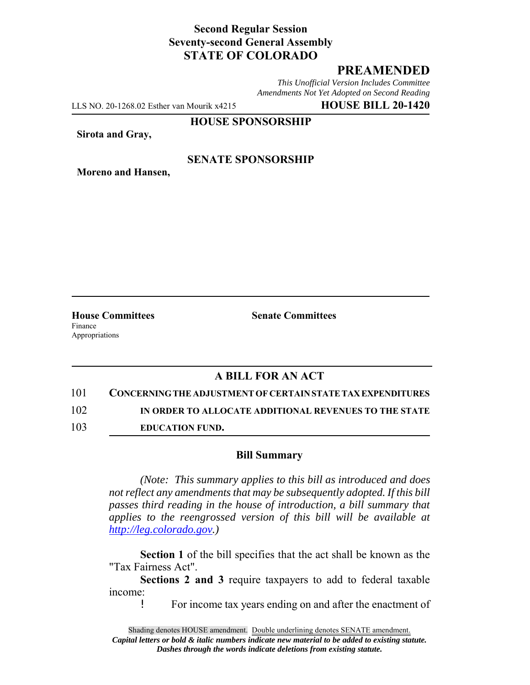# **Second Regular Session Seventy-second General Assembly STATE OF COLORADO**

# **PREAMENDED**

*This Unofficial Version Includes Committee Amendments Not Yet Adopted on Second Reading*

LLS NO. 20-1268.02 Esther van Mourik x4215 **HOUSE BILL 20-1420**

#### **HOUSE SPONSORSHIP**

**Sirota and Gray,**

### **SENATE SPONSORSHIP**

**Moreno and Hansen,**

Finance Appropriations

**House Committees Senate Committees** 

## **A BILL FOR AN ACT**

101 **CONCERNING THE ADJUSTMENT OF CERTAIN STATE TAX EXPENDITURES**

102 **IN ORDER TO ALLOCATE ADDITIONAL REVENUES TO THE STATE**

103 **EDUCATION FUND.**

### **Bill Summary**

*(Note: This summary applies to this bill as introduced and does not reflect any amendments that may be subsequently adopted. If this bill passes third reading in the house of introduction, a bill summary that applies to the reengrossed version of this bill will be available at http://leg.colorado.gov.)*

**Section 1** of the bill specifies that the act shall be known as the "Tax Fairness Act".

**Sections 2 and 3** require taxpayers to add to federal taxable income:

! For income tax years ending on and after the enactment of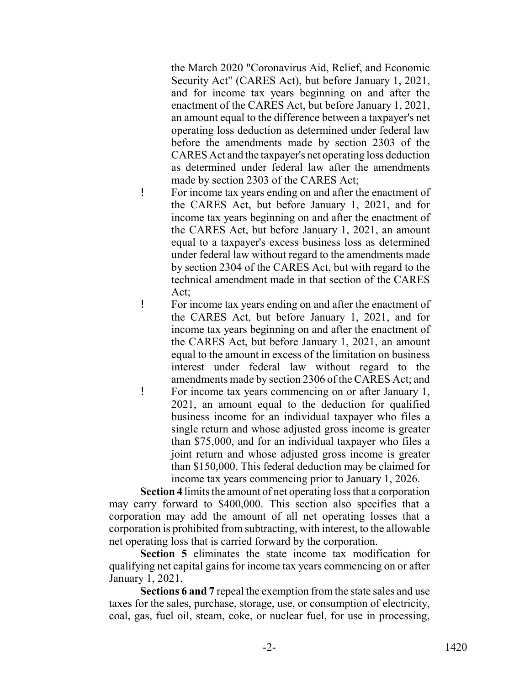the March 2020 "Coronavirus Aid, Relief, and Economic Security Act" (CARES Act), but before January 1, 2021, and for income tax years beginning on and after the enactment of the CARES Act, but before January 1, 2021, an amount equal to the difference between a taxpayer's net operating loss deduction as determined under federal law before the amendments made by section 2303 of the CARES Act and the taxpayer's net operating loss deduction as determined under federal law after the amendments made by section 2303 of the CARES Act;

- ! For income tax years ending on and after the enactment of the CARES Act, but before January 1, 2021, and for income tax years beginning on and after the enactment of the CARES Act, but before January 1, 2021, an amount equal to a taxpayer's excess business loss as determined under federal law without regard to the amendments made by section 2304 of the CARES Act, but with regard to the technical amendment made in that section of the CARES Act;
- ! For income tax years ending on and after the enactment of the CARES Act, but before January 1, 2021, and for income tax years beginning on and after the enactment of the CARES Act, but before January 1, 2021, an amount equal to the amount in excess of the limitation on business interest under federal law without regard to the amendments made by section 2306 of the CARES Act; and
- ! For income tax years commencing on or after January 1, 2021, an amount equal to the deduction for qualified business income for an individual taxpayer who files a single return and whose adjusted gross income is greater than \$75,000, and for an individual taxpayer who files a joint return and whose adjusted gross income is greater than \$150,000. This federal deduction may be claimed for income tax years commencing prior to January 1, 2026.

**Section 4** limits the amount of net operating loss that a corporation may carry forward to \$400,000. This section also specifies that a corporation may add the amount of all net operating losses that a corporation is prohibited from subtracting, with interest, to the allowable net operating loss that is carried forward by the corporation.

**Section 5** eliminates the state income tax modification for qualifying net capital gains for income tax years commencing on or after January 1, 2021.

**Sections 6 and 7** repeal the exemption from the state sales and use taxes for the sales, purchase, storage, use, or consumption of electricity, coal, gas, fuel oil, steam, coke, or nuclear fuel, for use in processing,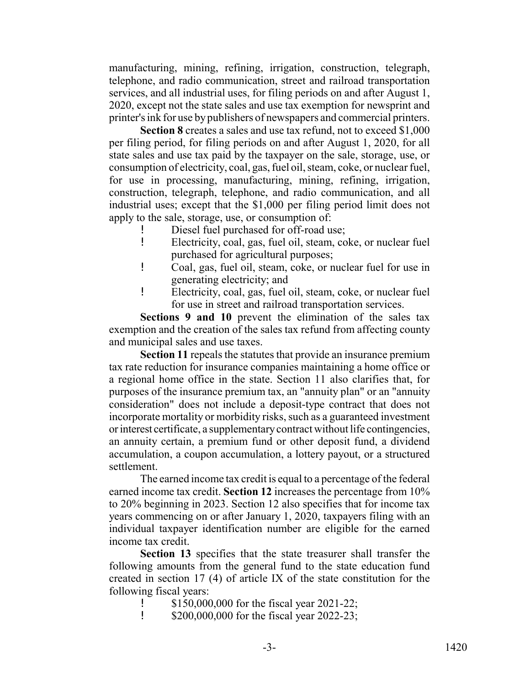manufacturing, mining, refining, irrigation, construction, telegraph, telephone, and radio communication, street and railroad transportation services, and all industrial uses, for filing periods on and after August 1, 2020, except not the state sales and use tax exemption for newsprint and printer's ink for use by publishers of newspapers and commercial printers.

**Section 8** creates a sales and use tax refund, not to exceed \$1,000 per filing period, for filing periods on and after August 1, 2020, for all state sales and use tax paid by the taxpayer on the sale, storage, use, or consumption of electricity, coal, gas, fuel oil, steam, coke, or nuclear fuel, for use in processing, manufacturing, mining, refining, irrigation, construction, telegraph, telephone, and radio communication, and all industrial uses; except that the \$1,000 per filing period limit does not apply to the sale, storage, use, or consumption of:

- Diesel fuel purchased for off-road use;
- ! Electricity, coal, gas, fuel oil, steam, coke, or nuclear fuel purchased for agricultural purposes;
- ! Coal, gas, fuel oil, steam, coke, or nuclear fuel for use in generating electricity; and
- ! Electricity, coal, gas, fuel oil, steam, coke, or nuclear fuel for use in street and railroad transportation services.

**Sections 9 and 10** prevent the elimination of the sales tax exemption and the creation of the sales tax refund from affecting county and municipal sales and use taxes.

**Section 11** repeals the statutes that provide an insurance premium tax rate reduction for insurance companies maintaining a home office or a regional home office in the state. Section 11 also clarifies that, for purposes of the insurance premium tax, an "annuity plan" or an "annuity consideration" does not include a deposit-type contract that does not incorporate mortality or morbidity risks, such as a guaranteed investment or interest certificate, a supplementary contract without life contingencies, an annuity certain, a premium fund or other deposit fund, a dividend accumulation, a coupon accumulation, a lottery payout, or a structured settlement.

The earned income tax credit is equal to a percentage of the federal earned income tax credit. **Section 12** increases the percentage from 10% to 20% beginning in 2023. Section 12 also specifies that for income tax years commencing on or after January 1, 2020, taxpayers filing with an individual taxpayer identification number are eligible for the earned income tax credit.

**Section 13** specifies that the state treasurer shall transfer the following amounts from the general fund to the state education fund created in section 17 (4) of article IX of the state constitution for the following fiscal years:

- ! \$150,000,000 for the fiscal year 2021-22;
- **1** \$200,000,000 for the fiscal year 2022-23;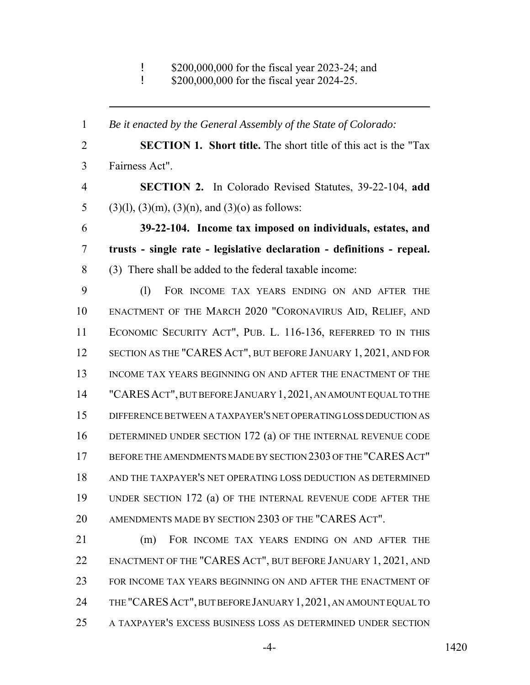! \$200,000,000 for the fiscal year 2023-24; and

! \$200,000,000 for the fiscal year 2024-25.

 *Be it enacted by the General Assembly of the State of Colorado:* **SECTION 1. Short title.** The short title of this act is the "Tax Fairness Act". **SECTION 2.** In Colorado Revised Statutes, 39-22-104, **add** 5 (3)(1), (3)(m), (3)(n), and (3)(o) as follows: **39-22-104. Income tax imposed on individuals, estates, and trusts - single rate - legislative declaration - definitions - repeal.** (3) There shall be added to the federal taxable income: (l) FOR INCOME TAX YEARS ENDING ON AND AFTER THE ENACTMENT OF THE MARCH 2020 "CORONAVIRUS AID, RELIEF, AND ECONOMIC SECURITY ACT", PUB. L. 116-136, REFERRED TO IN THIS SECTION AS THE "CARES ACT", BUT BEFORE JANUARY 1, 2021, AND FOR 13 INCOME TAX YEARS BEGINNING ON AND AFTER THE ENACTMENT OF THE "CARESACT", BUT BEFORE JANUARY 1,2021, AN AMOUNT EQUAL TO THE DIFFERENCE BETWEEN A TAXPAYER'S NET OPERATING LOSS DEDUCTION AS DETERMINED UNDER SECTION 172 (a) OF THE INTERNAL REVENUE CODE BEFORE THE AMENDMENTS MADE BY SECTION 2303 OF THE "CARESACT" AND THE TAXPAYER'S NET OPERATING LOSS DEDUCTION AS DETERMINED UNDER SECTION 172 (a) OF THE INTERNAL REVENUE CODE AFTER THE AMENDMENTS MADE BY SECTION 2303 OF THE "CARES ACT". (m) FOR INCOME TAX YEARS ENDING ON AND AFTER THE ENACTMENT OF THE "CARES ACT", BUT BEFORE JANUARY 1, 2021, AND FOR INCOME TAX YEARS BEGINNING ON AND AFTER THE ENACTMENT OF THE "CARESACT", BUT BEFORE JANUARY 1,2021, AN AMOUNT EQUAL TO

A TAXPAYER'S EXCESS BUSINESS LOSS AS DETERMINED UNDER SECTION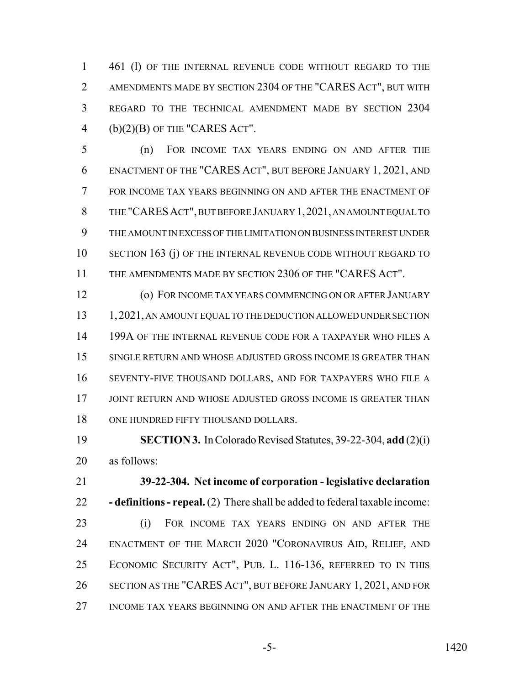1 461 (1) OF THE INTERNAL REVENUE CODE WITHOUT REGARD TO THE AMENDMENTS MADE BY SECTION 2304 OF THE "CARES ACT", BUT WITH REGARD TO THE TECHNICAL AMENDMENT MADE BY SECTION 2304 4 (b) $(2)(B)$  OF THE "CARES ACT".

 (n) FOR INCOME TAX YEARS ENDING ON AND AFTER THE ENACTMENT OF THE "CARES ACT", BUT BEFORE JANUARY 1, 2021, AND FOR INCOME TAX YEARS BEGINNING ON AND AFTER THE ENACTMENT OF THE "CARESACT", BUT BEFORE JANUARY 1,2021, AN AMOUNT EQUAL TO THE AMOUNT IN EXCESS OF THE LIMITATION ON BUSINESS INTEREST UNDER SECTION 163 (j) OF THE INTERNAL REVENUE CODE WITHOUT REGARD TO THE AMENDMENTS MADE BY SECTION 2306 OF THE "CARES ACT".

 (o) FOR INCOME TAX YEARS COMMENCING ON OR AFTER JANUARY 13 1,2021, AN AMOUNT EQUAL TO THE DEDUCTION ALLOWED UNDER SECTION 14 199A OF THE INTERNAL REVENUE CODE FOR A TAXPAYER WHO FILES A SINGLE RETURN AND WHOSE ADJUSTED GROSS INCOME IS GREATER THAN SEVENTY-FIVE THOUSAND DOLLARS, AND FOR TAXPAYERS WHO FILE A 17 JOINT RETURN AND WHOSE ADJUSTED GROSS INCOME IS GREATER THAN 18 ONE HUNDRED FIFTY THOUSAND DOLLARS.

 **SECTION 3.** In Colorado Revised Statutes, 39-22-304, **add** (2)(i) as follows:

 **39-22-304. Net income of corporation - legislative declaration - definitions - repeal.** (2) There shall be added to federal taxable income: (i) FOR INCOME TAX YEARS ENDING ON AND AFTER THE

 ENACTMENT OF THE MARCH 2020 "CORONAVIRUS AID, RELIEF, AND ECONOMIC SECURITY ACT", PUB. L. 116-136, REFERRED TO IN THIS SECTION AS THE "CARES ACT", BUT BEFORE JANUARY 1, 2021, AND FOR INCOME TAX YEARS BEGINNING ON AND AFTER THE ENACTMENT OF THE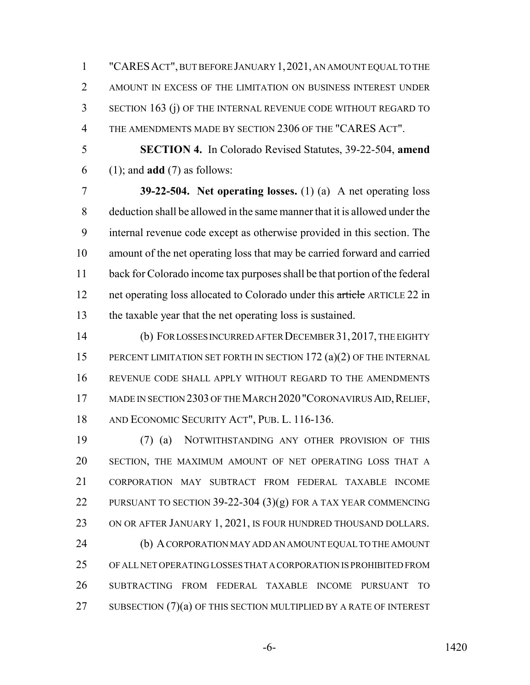"CARESACT", BUT BEFORE JANUARY 1,2021, AN AMOUNT EQUAL TO THE AMOUNT IN EXCESS OF THE LIMITATION ON BUSINESS INTEREST UNDER SECTION 163 (j) OF THE INTERNAL REVENUE CODE WITHOUT REGARD TO THE AMENDMENTS MADE BY SECTION 2306 OF THE "CARES ACT".

 **SECTION 4.** In Colorado Revised Statutes, 39-22-504, **amend** (1); and **add** (7) as follows:

 **39-22-504. Net operating losses.** (1) (a) A net operating loss deduction shall be allowed in the same manner that it is allowed under the internal revenue code except as otherwise provided in this section. The amount of the net operating loss that may be carried forward and carried back for Colorado income tax purposes shall be that portion of the federal 12 net operating loss allocated to Colorado under this article ARTICLE 22 in the taxable year that the net operating loss is sustained.

 (b) FOR LOSSES INCURRED AFTER DECEMBER 31,2017, THE EIGHTY 15 PERCENT LIMITATION SET FORTH IN SECTION 172 (a)(2) OF THE INTERNAL REVENUE CODE SHALL APPLY WITHOUT REGARD TO THE AMENDMENTS 17 MADE IN SECTION 2303 OF THE MARCH 2020 "CORONAVIRUS AID, RELIEF, AND ECONOMIC SECURITY ACT", PUB. L. 116-136.

 (7) (a) NOTWITHSTANDING ANY OTHER PROVISION OF THIS SECTION, THE MAXIMUM AMOUNT OF NET OPERATING LOSS THAT A CORPORATION MAY SUBTRACT FROM FEDERAL TAXABLE INCOME 22 PURSUANT TO SECTION 39-22-304 (3)(g) FOR A TAX YEAR COMMENCING 23 ON OR AFTER JANUARY 1, 2021, IS FOUR HUNDRED THOUSAND DOLLARS. (b) A CORPORATION MAY ADD AN AMOUNT EQUAL TO THE AMOUNT OF ALL NET OPERATING LOSSES THAT A CORPORATION IS PROHIBITED FROM SUBTRACTING FROM FEDERAL TAXABLE INCOME PURSUANT TO 27 SUBSECTION  $(7)(a)$  OF THIS SECTION MULTIPLIED BY A RATE OF INTEREST

-6- 1420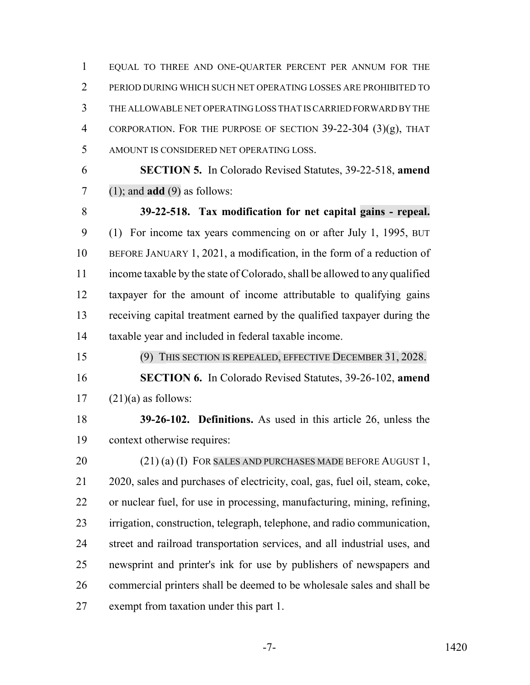EQUAL TO THREE AND ONE-QUARTER PERCENT PER ANNUM FOR THE PERIOD DURING WHICH SUCH NET OPERATING LOSSES ARE PROHIBITED TO THE ALLOWABLE NET OPERATING LOSS THAT IS CARRIED FORWARD BY THE CORPORATION. FOR THE PURPOSE OF SECTION 39-22-304 (3)(g), THAT AMOUNT IS CONSIDERED NET OPERATING LOSS.

 **SECTION 5.** In Colorado Revised Statutes, 39-22-518, **amend** (1); and **add** (9) as follows:

 **39-22-518. Tax modification for net capital gains - repeal.** (1) For income tax years commencing on or after July 1, 1995, BUT BEFORE JANUARY 1, 2021, a modification, in the form of a reduction of income taxable by the state of Colorado, shall be allowed to any qualified taxpayer for the amount of income attributable to qualifying gains receiving capital treatment earned by the qualified taxpayer during the taxable year and included in federal taxable income.

 (9) THIS SECTION IS REPEALED, EFFECTIVE DECEMBER 31, 2028. **SECTION 6.** In Colorado Revised Statutes, 39-26-102, **amend**  $17 \quad (21)(a)$  as follows:

 **39-26-102. Definitions.** As used in this article 26, unless the context otherwise requires:

20 (21) (a) (I) FOR SALES AND PURCHASES MADE BEFORE AUGUST 1, 2020, sales and purchases of electricity, coal, gas, fuel oil, steam, coke, or nuclear fuel, for use in processing, manufacturing, mining, refining, irrigation, construction, telegraph, telephone, and radio communication, street and railroad transportation services, and all industrial uses, and newsprint and printer's ink for use by publishers of newspapers and commercial printers shall be deemed to be wholesale sales and shall be exempt from taxation under this part 1.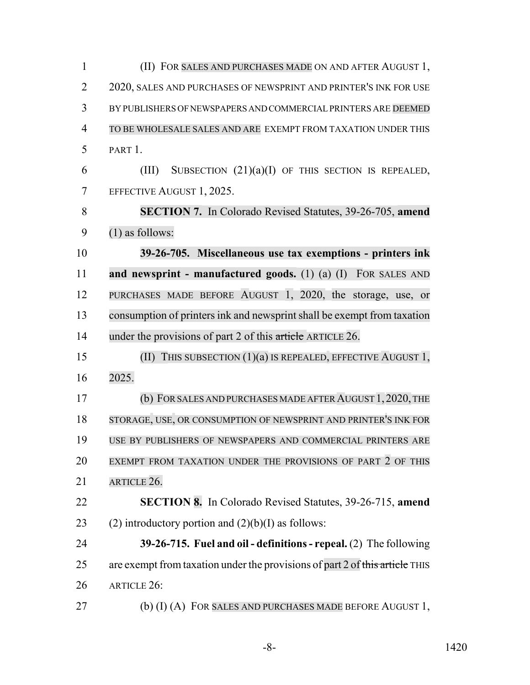(II) FOR SALES AND PURCHASES MADE ON AND AFTER AUGUST 1, 2 2020, SALES AND PURCHASES OF NEWSPRINT AND PRINTER'S INK FOR USE BY PUBLISHERS OF NEWSPAPERS AND COMMERCIAL PRINTERS ARE DEEMED TO BE WHOLESALE SALES AND ARE EXEMPT FROM TAXATION UNDER THIS PART 1. 6 (III) SUBSECTION  $(21)(a)(I)$  OF THIS SECTION IS REPEALED, EFFECTIVE AUGUST 1, 2025. **SECTION 7.** In Colorado Revised Statutes, 39-26-705, **amend** (1) as follows: **39-26-705. Miscellaneous use tax exemptions - printers ink and newsprint - manufactured goods.** (1) (a) (I) FOR SALES AND PURCHASES MADE BEFORE AUGUST 1, 2020, the storage, use, or consumption of printersink and newsprintshall be exempt from taxation 14 under the provisions of part 2 of this article ARTICLE 26. (II) THIS SUBSECTION (1)(a) IS REPEALED, EFFECTIVE AUGUST 1, 2025. 17 (b) FOR SALES AND PURCHASES MADE AFTER AUGUST 1, 2020, THE STORAGE, USE, OR CONSUMPTION OF NEWSPRINT AND PRINTER'S INK FOR USE BY PUBLISHERS OF NEWSPAPERS AND COMMERCIAL PRINTERS ARE EXEMPT FROM TAXATION UNDER THE PROVISIONS OF PART 2 OF THIS ARTICLE 26. **SECTION 8.** In Colorado Revised Statutes, 39-26-715, **amend** 23 (2) introductory portion and  $(2)(b)(I)$  as follows: **39-26-715. Fuel and oil - definitions - repeal.** (2) The following 25 are exempt from taxation under the provisions of part 2 of this article THIS ARTICLE 26: 27 (b) (I) (A) FOR SALES AND PURCHASES MADE BEFORE AUGUST 1,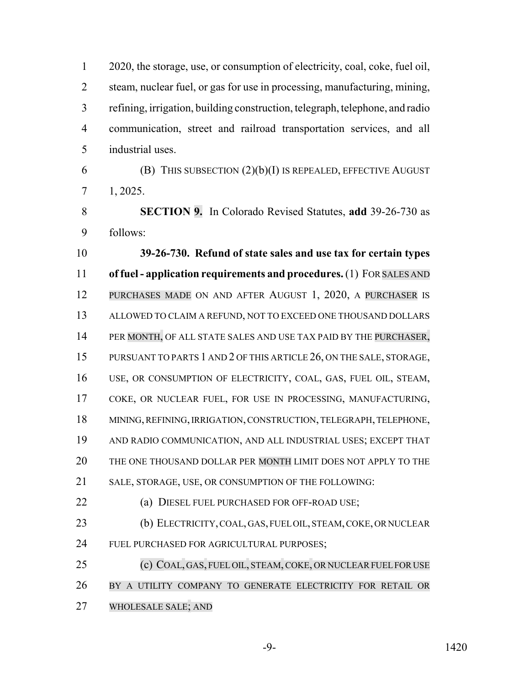2020, the storage, use, or consumption of electricity, coal, coke, fuel oil, steam, nuclear fuel, or gas for use in processing, manufacturing, mining, refining, irrigation, building construction, telegraph, telephone, and radio communication, street and railroad transportation services, and all industrial uses. 6 (B) THIS SUBSECTION  $(2)(b)(I)$  IS REPEALED, EFFECTIVE AUGUST

1, 2025.

 **SECTION 9.** In Colorado Revised Statutes, **add** 39-26-730 as follows:

 **39-26-730. Refund of state sales and use tax for certain types of fuel - application requirements and procedures.** (1) FOR SALES AND PURCHASES MADE ON AND AFTER AUGUST 1, 2020, A PURCHASER IS ALLOWED TO CLAIM A REFUND, NOT TO EXCEED ONE THOUSAND DOLLARS 14 PER MONTH, OF ALL STATE SALES AND USE TAX PAID BY THE PURCHASER, PURSUANT TO PARTS 1 AND 2 OF THIS ARTICLE 26, ON THE SALE, STORAGE, USE, OR CONSUMPTION OF ELECTRICITY, COAL, GAS, FUEL OIL, STEAM, COKE, OR NUCLEAR FUEL, FOR USE IN PROCESSING, MANUFACTURING, MINING, REFINING, IRRIGATION, CONSTRUCTION, TELEGRAPH, TELEPHONE, AND RADIO COMMUNICATION, AND ALL INDUSTRIAL USES; EXCEPT THAT THE ONE THOUSAND DOLLAR PER MONTH LIMIT DOES NOT APPLY TO THE SALE, STORAGE, USE, OR CONSUMPTION OF THE FOLLOWING:

(a) DIESEL FUEL PURCHASED FOR OFF-ROAD USE;

 (b) ELECTRICITY, COAL, GAS, FUEL OIL, STEAM, COKE, OR NUCLEAR FUEL PURCHASED FOR AGRICULTURAL PURPOSES;

25 (c) COAL, GAS, FUEL OIL, STEAM, COKE, OR NUCLEAR FUEL FOR USE BY A UTILITY COMPANY TO GENERATE ELECTRICITY FOR RETAIL OR WHOLESALE SALE; AND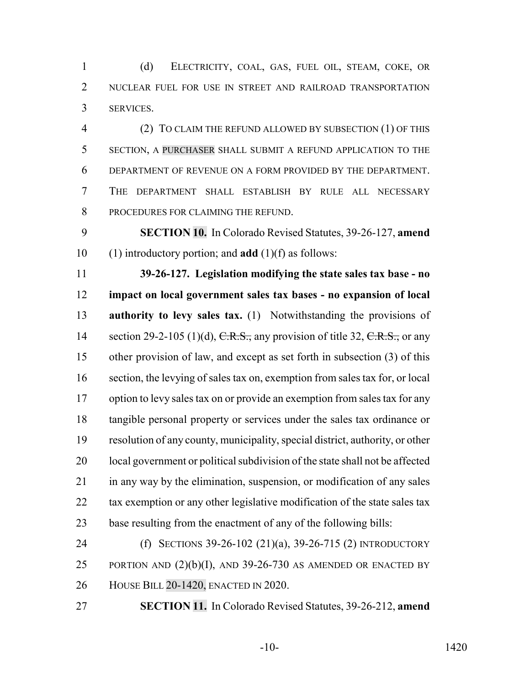(d) ELECTRICITY, COAL, GAS, FUEL OIL, STEAM, COKE, OR 2 NUCLEAR FUEL FOR USE IN STREET AND RAILROAD TRANSPORTATION SERVICES.

 (2) TO CLAIM THE REFUND ALLOWED BY SUBSECTION (1) OF THIS SECTION, A PURCHASER SHALL SUBMIT A REFUND APPLICATION TO THE DEPARTMENT OF REVENUE ON A FORM PROVIDED BY THE DEPARTMENT. THE DEPARTMENT SHALL ESTABLISH BY RULE ALL NECESSARY PROCEDURES FOR CLAIMING THE REFUND.

 **SECTION 10.** In Colorado Revised Statutes, 39-26-127, **amend** (1) introductory portion; and **add** (1)(f) as follows:

 **39-26-127. Legislation modifying the state sales tax base - no impact on local government sales tax bases - no expansion of local authority to levy sales tax.** (1) Notwithstanding the provisions of 14 section 29-2-105 (1)(d),  $C.R.S.,$  any provision of title 32,  $C.R.S.,$  or any other provision of law, and except as set forth in subsection (3) of this section, the levying of sales tax on, exemption from sales tax for, or local option to levy sales tax on or provide an exemption from sales tax for any tangible personal property or services under the sales tax ordinance or resolution of any county, municipality, special district, authority, or other local government or political subdivision of the state shall not be affected in any way by the elimination, suspension, or modification of any sales 22 tax exemption or any other legislative modification of the state sales tax base resulting from the enactment of any of the following bills:

 (f) SECTIONS 39-26-102 (21)(a), 39-26-715 (2) INTRODUCTORY 25 PORTION AND  $(2)(b)(I)$ , AND 39-26-730 AS AMENDED OR ENACTED BY HOUSE BILL 20-1420, ENACTED IN 2020.

**SECTION 11.** In Colorado Revised Statutes, 39-26-212, **amend**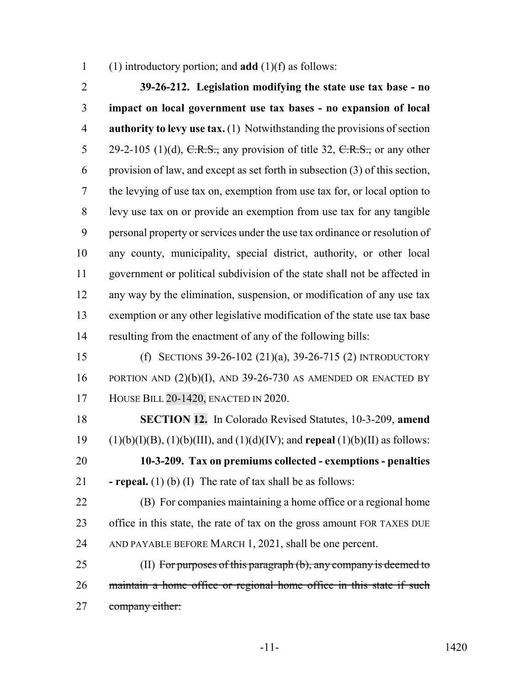(1) introductory portion; and **add** (1)(f) as follows:

 **39-26-212. Legislation modifying the state use tax base - no impact on local government use tax bases - no expansion of local authority to levy use tax.** (1) Notwithstanding the provisions of section 5 29-2-105 (1)(d),  $C.R.S.,$  any provision of title 32,  $C.R.S.,$  or any other provision of law, and except as set forth in subsection (3) of this section, the levying of use tax on, exemption from use tax for, or local option to levy use tax on or provide an exemption from use tax for any tangible personal property or services under the use tax ordinance or resolution of any county, municipality, special district, authority, or other local government or political subdivision of the state shall not be affected in any way by the elimination, suspension, or modification of any use tax exemption or any other legislative modification of the state use tax base resulting from the enactment of any of the following bills: (f) SECTIONS 39-26-102 (21)(a), 39-26-715 (2) INTRODUCTORY 16 PORTION AND  $(2)(b)(I)$ , AND 39-26-730 AS AMENDED OR ENACTED BY HOUSE BILL 20-1420, ENACTED IN 2020. **SECTION 12.** In Colorado Revised Statutes, 10-3-209, **amend** (1)(b)(I)(B), (1)(b)(III), and (1)(d)(IV); and **repeal** (1)(b)(II) as follows: **10-3-209. Tax on premiums collected - exemptions - penalties**

**- repeal.** (1) (b) (I) The rate of tax shall be as follows:

 (B) For companies maintaining a home office or a regional home office in this state, the rate of tax on the gross amount FOR TAXES DUE AND PAYABLE BEFORE MARCH 1, 2021, shall be one percent.

 (II) For purposes of this paragraph (b), any company is deemed to maintain a home office or regional home office in this state if such company either: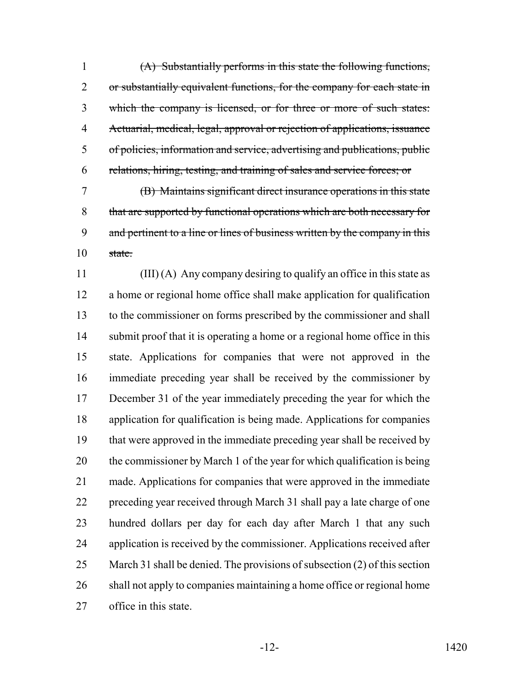(A) Substantially performs in this state the following functions, 2 or substantially equivalent functions, for the company for each state in which the company is licensed, or for three or more of such states: Actuarial, medical, legal, approval or rejection of applications, issuance of policies, information and service, advertising and publications, public relations, hiring, testing, and training of sales and service forces; or

 (B) Maintains significant direct insurance operations in this state that are supported by functional operations which are both necessary for 9 and pertinent to a line or lines of business written by the company in this state.

 (III) (A) Any company desiring to qualify an office in this state as a home or regional home office shall make application for qualification to the commissioner on forms prescribed by the commissioner and shall 14 submit proof that it is operating a home or a regional home office in this state. Applications for companies that were not approved in the immediate preceding year shall be received by the commissioner by December 31 of the year immediately preceding the year for which the application for qualification is being made. Applications for companies that were approved in the immediate preceding year shall be received by the commissioner by March 1 of the year for which qualification is being made. Applications for companies that were approved in the immediate preceding year received through March 31 shall pay a late charge of one hundred dollars per day for each day after March 1 that any such application is received by the commissioner. Applications received after March 31 shall be denied. The provisions of subsection (2) of this section shall not apply to companies maintaining a home office or regional home office in this state.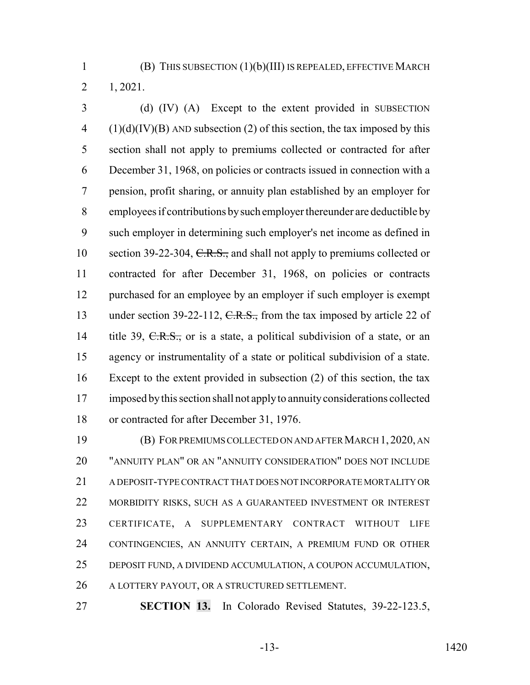(B) THIS SUBSECTION (1)(b)(III) IS REPEALED, EFFECTIVE MARCH 1, 2021.

 (d) (IV) (A) Except to the extent provided in SUBSECTION (1)(d)(IV)(B) AND subsection (2) of this section, the tax imposed by this section shall not apply to premiums collected or contracted for after December 31, 1968, on policies or contracts issued in connection with a pension, profit sharing, or annuity plan established by an employer for employees if contributions by such employer thereunder are deductible by such employer in determining such employer's net income as defined in 10 section 39-22-304, C.R.S., and shall not apply to premiums collected or contracted for after December 31, 1968, on policies or contracts purchased for an employee by an employer if such employer is exempt 13 under section 39-22-112, C.R.S., from the tax imposed by article 22 of 14 title 39, C.R.S., or is a state, a political subdivision of a state, or an agency or instrumentality of a state or political subdivision of a state. Except to the extent provided in subsection (2) of this section, the tax imposed by this section shall not apply to annuity considerations collected or contracted for after December 31, 1976.

 (B) FOR PREMIUMS COLLECTED ON AND AFTER MARCH 1, 2020, AN "ANNUITY PLAN" OR AN "ANNUITY CONSIDERATION" DOES NOT INCLUDE A DEPOSIT-TYPE CONTRACT THAT DOES NOT INCORPORATE MORTALITY OR MORBIDITY RISKS, SUCH AS A GUARANTEED INVESTMENT OR INTEREST CERTIFICATE, A SUPPLEMENTARY CONTRACT WITHOUT LIFE CONTINGENCIES, AN ANNUITY CERTAIN, A PREMIUM FUND OR OTHER DEPOSIT FUND, A DIVIDEND ACCUMULATION, A COUPON ACCUMULATION, A LOTTERY PAYOUT, OR A STRUCTURED SETTLEMENT.

**SECTION 13.** In Colorado Revised Statutes, 39-22-123.5,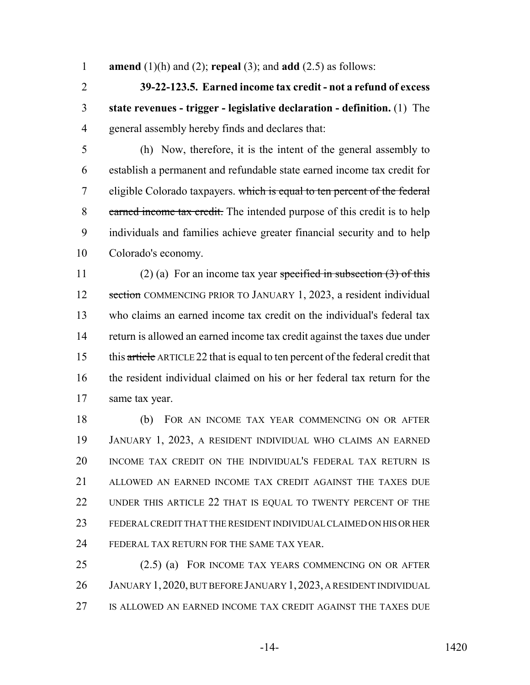**amend** (1)(h) and (2); **repeal** (3); and **add** (2.5) as follows:

 **39-22-123.5. Earned income tax credit - not a refund of excess state revenues - trigger - legislative declaration - definition.** (1) The general assembly hereby finds and declares that:

 (h) Now, therefore, it is the intent of the general assembly to establish a permanent and refundable state earned income tax credit for 7 eligible Colorado taxpayers. which is equal to ten percent of the federal 8 earned income tax credit. The intended purpose of this credit is to help individuals and families achieve greater financial security and to help Colorado's economy.

11 (2) (a) For an income tax year specified in subsection  $(3)$  of this 12 section COMMENCING PRIOR TO JANUARY 1, 2023, a resident individual who claims an earned income tax credit on the individual's federal tax return is allowed an earned income tax credit against the taxes due under 15 this article ARTICLE 22 that is equal to ten percent of the federal credit that the resident individual claimed on his or her federal tax return for the same tax year.

 (b) FOR AN INCOME TAX YEAR COMMENCING ON OR AFTER JANUARY 1, 2023, A RESIDENT INDIVIDUAL WHO CLAIMS AN EARNED INCOME TAX CREDIT ON THE INDIVIDUAL'S FEDERAL TAX RETURN IS ALLOWED AN EARNED INCOME TAX CREDIT AGAINST THE TAXES DUE UNDER THIS ARTICLE 22 THAT IS EQUAL TO TWENTY PERCENT OF THE FEDERAL CREDIT THAT THE RESIDENT INDIVIDUAL CLAIMED ON HIS OR HER FEDERAL TAX RETURN FOR THE SAME TAX YEAR.

 (2.5) (a) FOR INCOME TAX YEARS COMMENCING ON OR AFTER JANUARY 1, 2020, BUT BEFORE JANUARY 1,2023, A RESIDENT INDIVIDUAL IS ALLOWED AN EARNED INCOME TAX CREDIT AGAINST THE TAXES DUE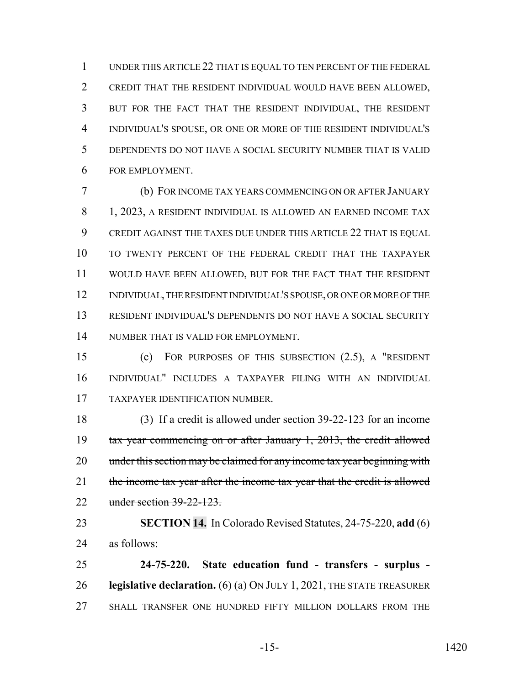UNDER THIS ARTICLE 22 THAT IS EQUAL TO TEN PERCENT OF THE FEDERAL CREDIT THAT THE RESIDENT INDIVIDUAL WOULD HAVE BEEN ALLOWED, BUT FOR THE FACT THAT THE RESIDENT INDIVIDUAL, THE RESIDENT INDIVIDUAL'S SPOUSE, OR ONE OR MORE OF THE RESIDENT INDIVIDUAL'S DEPENDENTS DO NOT HAVE A SOCIAL SECURITY NUMBER THAT IS VALID FOR EMPLOYMENT.

 (b) FOR INCOME TAX YEARS COMMENCING ON OR AFTER JANUARY 8 1, 2023, A RESIDENT INDIVIDUAL IS ALLOWED AN EARNED INCOME TAX CREDIT AGAINST THE TAXES DUE UNDER THIS ARTICLE 22 THAT IS EQUAL TO TWENTY PERCENT OF THE FEDERAL CREDIT THAT THE TAXPAYER WOULD HAVE BEEN ALLOWED, BUT FOR THE FACT THAT THE RESIDENT INDIVIDUAL, THE RESIDENT INDIVIDUAL'S SPOUSE, OR ONE OR MORE OF THE RESIDENT INDIVIDUAL'S DEPENDENTS DO NOT HAVE A SOCIAL SECURITY NUMBER THAT IS VALID FOR EMPLOYMENT.

 (c) FOR PURPOSES OF THIS SUBSECTION (2.5), A "RESIDENT INDIVIDUAL" INCLUDES A TAXPAYER FILING WITH AN INDIVIDUAL TAXPAYER IDENTIFICATION NUMBER.

 (3) If a credit is allowed under section 39-22-123 for an income tax year commencing on or after January 1, 2013, the credit allowed 20 under this section may be claimed for any income tax year beginning with 21 the income tax year after the income tax year that the credit is allowed under section 39-22-123.

 **SECTION 14.** In Colorado Revised Statutes, 24-75-220, **add** (6) as follows:

 **24-75-220. State education fund - transfers - surplus - legislative declaration.** (6) (a) ON JULY 1, 2021, THE STATE TREASURER SHALL TRANSFER ONE HUNDRED FIFTY MILLION DOLLARS FROM THE